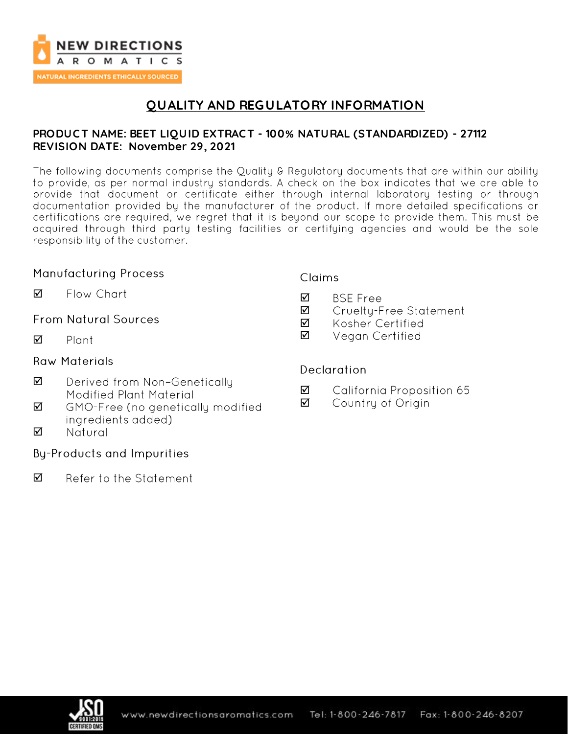

# **QUALITY AND REGULATORY INFORMATION**

### **PRODUC T NAME: BEET LIQUID EXTRAC T - 100% NATURAL (STANDARDIZED) - 27112 REVISION DATE: November 29, 2021**

The following documents comprise the Quality & Regulatory documents that are within our ability to provide, as per normal industry standards. A check on the box indicates that we are able to provide that document or certificate either through internal laboratory testing or through documentation provided by the manufacturer of the product. If more detailed specifications or certifications are required, we regret that it is beyond our scope to provide them. This must be acquired through third party testing facilities or certifying agencies and would be the sole responsibility of the customer.

### **Manufacturing Process**

☑ Flow Chart

### **From Natural Sources**

 $\triangledown$ Plant

### **Raw Materials**

- ☑ Derived from Non-Genetically Modified Plant Material
- ☑ GMO-Free (no genetically modified ingredients added)
- ☑ Natural

### **By-Products and Impurities**

☑ Refer to the Statement

### **Claims**

- **BSE Free** ☑
- ☑ Cruelty-Free Statement
- ☑ Kosher Certified
- ☑ Vegan Certified

### **Declaration**

- ☑ California Proposition 65
- ☑ Country of Origin

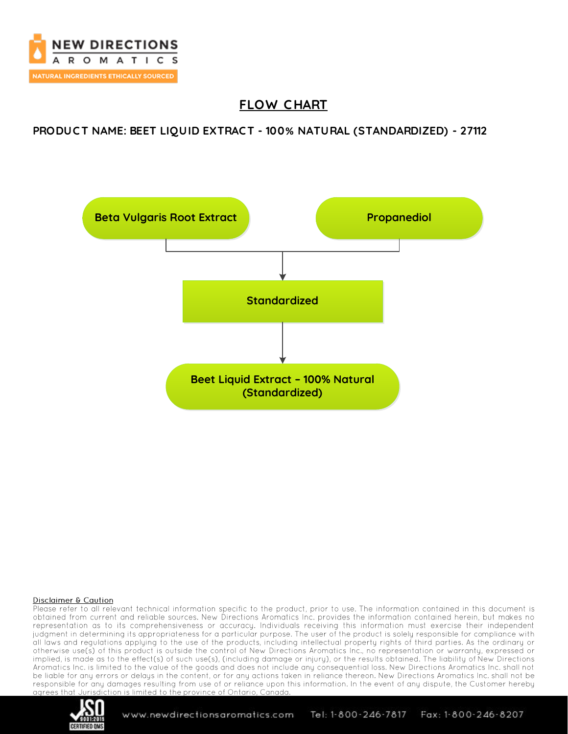

# **FLOW C HART**

**PRODUC T NAME: BEET LIQUID EXTRAC T - 100% NATURAL (STANDARDIZED) - 27112**



### Disclaimer & Caution

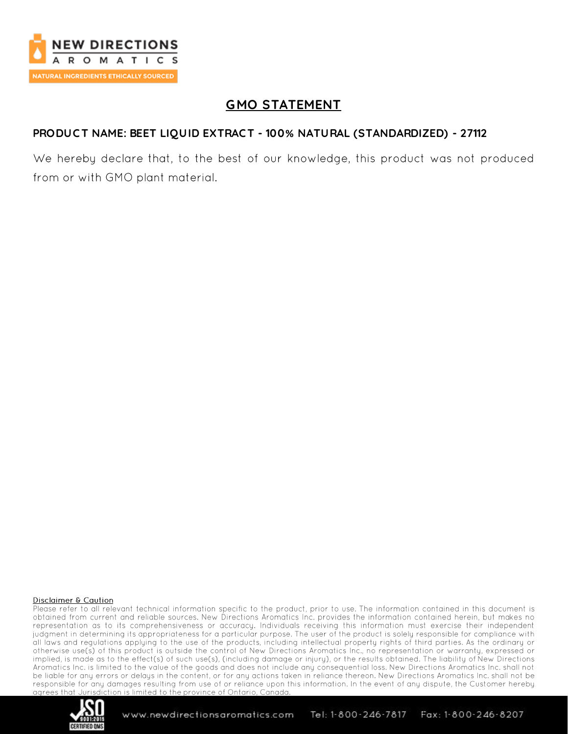

# **GMO STATEMENT**

### **PRODUC T NAME: BEET LIQUID EXTRAC T - 100% NATURAL (STANDARDIZED) - 27112**

We hereby declare that, to the best of our knowledge, this product was not produced from or with GMO plant material.

#### Disclaimer & Caution

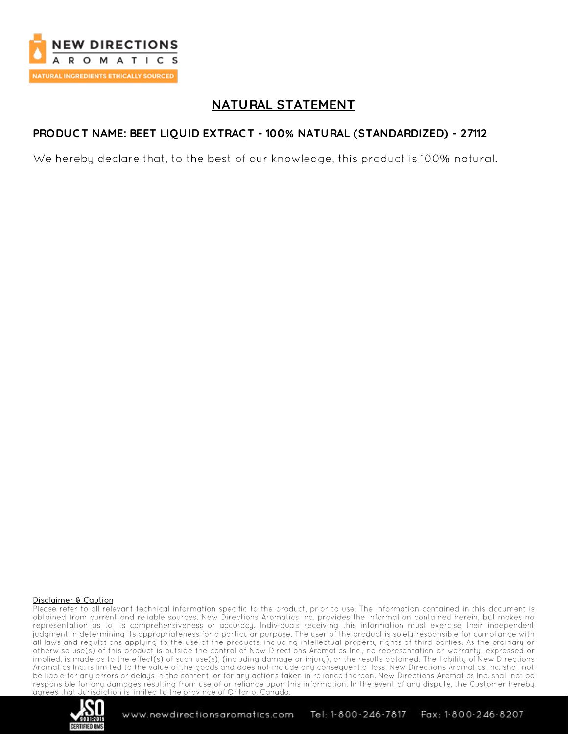

# **NATURAL STATEMENT**

## **PRODUC T NAME: BEET LIQUID EXTRAC T - 100% NATURAL (STANDARDIZED) - 27112**

We hereby declare that, to the best of our knowledge, this product is 100% natural.

#### Disclaimer & Caution

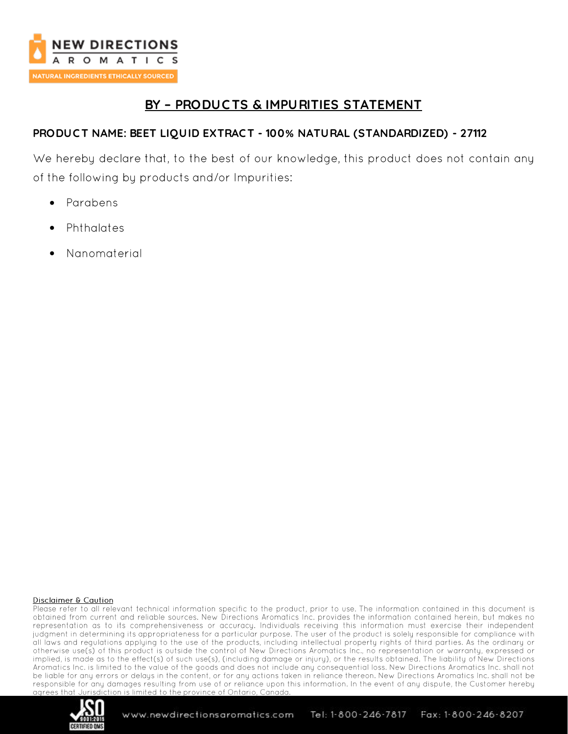

# **BY – PRODUC TS & IMPURITIES STATEMENT**

## **PRODUC T NAME: BEET LIQUID EXTRAC T - 100% NATURAL (STANDARDIZED) - 27112**

We hereby declare that, to the best of our knowledge, this product does not contain any of the following by products and/or Impurities:

- Parabens •
- Phthalates •
- •Nanomaterial

### Disclaimer & Caution

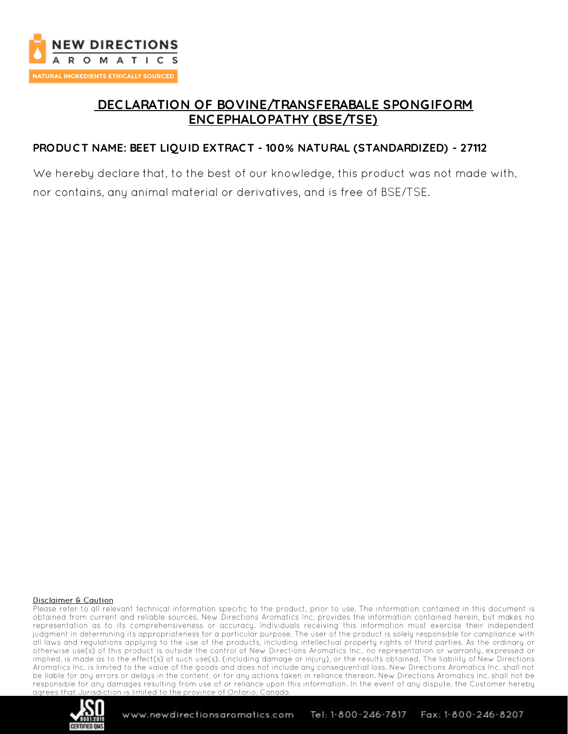

# **DEC LARATION OF BOVINE/TRANSFERABALE SPONGIFORM ENC EPHALOPATHY (BSE/TSE)**

## **PRODUC T NAME: BEET LIQUID EXTRAC T - 100% NATURAL (STANDARDIZED) - 27112**

We hereby declare that, to the best of our knowledge, this product was not made with, nor contains, any animal material or derivatives, and is free of BSE/TSE.

#### Disclaimer & Caution

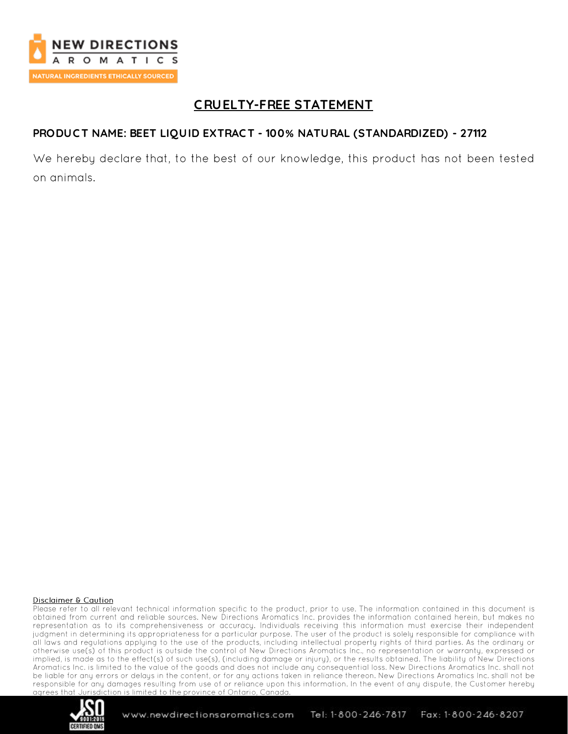

## **C RUELTY-FREE STATEMENT**

### **PRODUC T NAME: BEET LIQUID EXTRAC T - 100% NATURAL (STANDARDIZED) - 27112**

We hereby declare that, to the best of our knowledge, this product has not been tested on animals.

#### Disclaimer & Caution

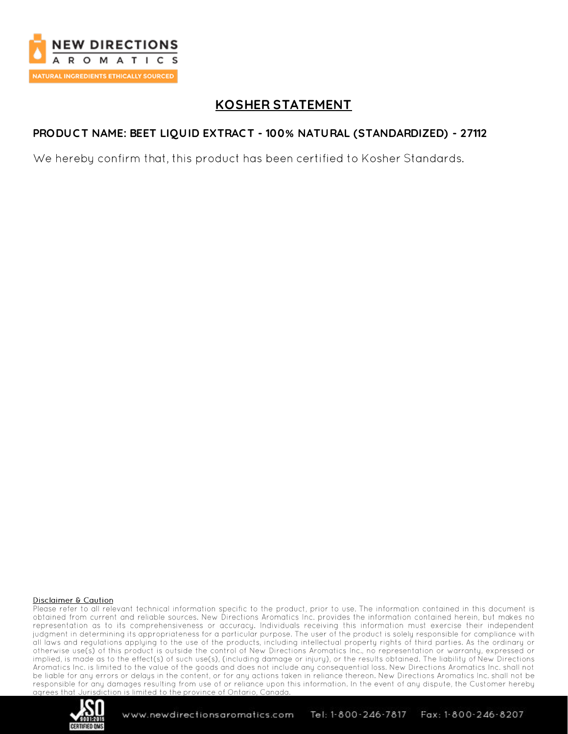

# **KOSHER STATEMENT**

## **PRODUC T NAME: BEET LIQUID EXTRAC T - 100% NATURAL (STANDARDIZED) - 27112**

We hereby confirm that, this product has been certified to Kosher Standards.

### Disclaimer & Caution

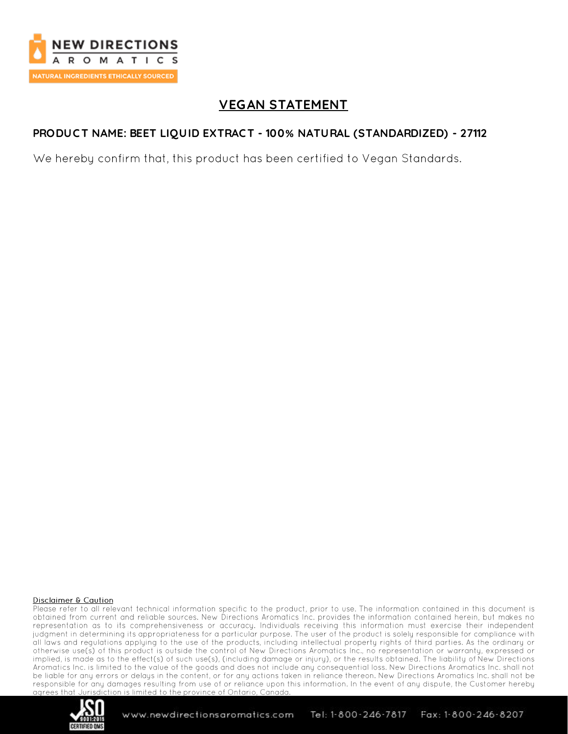

# **VEGAN STATEMENT**

## **PRODUC T NAME: BEET LIQUID EXTRAC T - 100% NATURAL (STANDARDIZED) - 27112**

We hereby confirm that, this product has been certified to Vegan Standards.

### Disclaimer & Caution

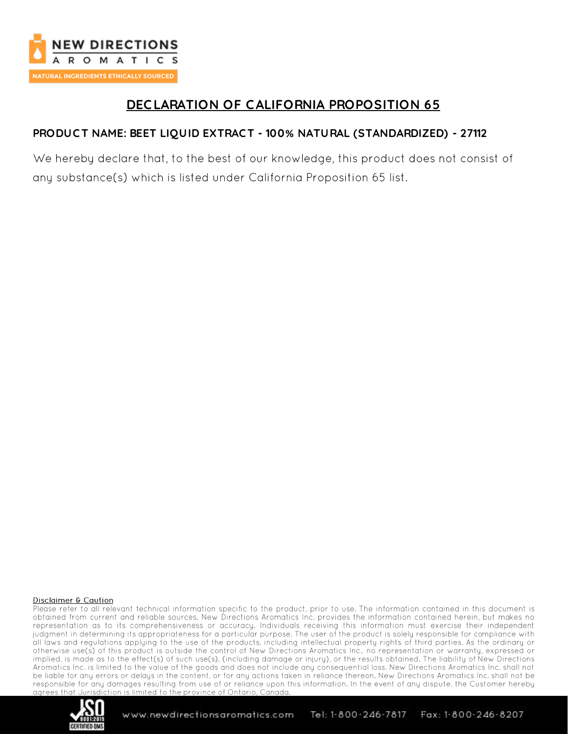

# **DEC LARATION OF C ALIFORNIA PROPOSITION 65**

## **PRODUC T NAME: BEET LIQUID EXTRAC T - 100% NATURAL (STANDARDIZED) - 27112**

We hereby declare that, to the best of our knowledge, this product does not consist of any substance(s) which is listed under California Proposition 65 list.

### Disclaimer & Caution